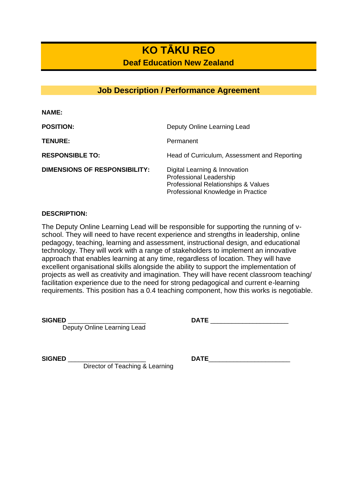# **KO TĀKU REO**

**Deaf Education New Zealand**

## **Job Description / Performance Agreement**

| <b>NAME:</b>                         |                                                                                                                                       |
|--------------------------------------|---------------------------------------------------------------------------------------------------------------------------------------|
| <b>POSITION:</b>                     | Deputy Online Learning Lead                                                                                                           |
| <b>TENURE:</b>                       | Permanent                                                                                                                             |
| <b>RESPONSIBLE TO:</b>               | Head of Curriculum, Assessment and Reporting                                                                                          |
| <b>DIMENSIONS OF RESPONSIBILITY:</b> | Digital Learning & Innovation<br>Professional Leadership<br>Professional Relationships & Values<br>Professional Knowledge in Practice |

### **DESCRIPTION:**

The Deputy Online Learning Lead will be responsible for supporting the running of vschool. They will need to have recent experience and strengths in leadership, online pedagogy, teaching, learning and assessment, instructional design, and educational technology. They will work with a range of stakeholders to implement an innovative approach that enables learning at any time, regardless of location. They will have excellent organisational skills alongside the ability to support the implementation of projects as well as creativity and imagination. They will have recent classroom teaching/ facilitation experience due to the need for strong pedagogical and current e-learning requirements. This position has a 0.4 teaching component, how this works is negotiable.

 $SIGNED$ 

Deputy Online Learning Lead

| יי<br>٠<br>$\overline{\phantom{0}}$<br>٠ |  |
|------------------------------------------|--|
|                                          |  |
|                                          |  |

Director of Teaching & Learning

**SIGNED** \_\_\_\_\_\_\_\_\_\_\_\_\_\_\_\_\_\_\_\_\_\_ **DATE**\_\_\_\_\_\_\_\_\_\_\_\_\_\_\_\_\_\_\_\_\_\_\_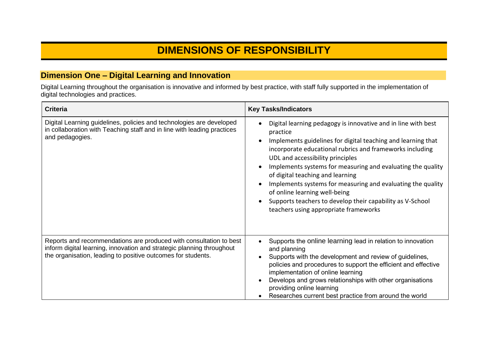# **DIMENSIONS OF RESPONSIBILITY**

## **Dimension One – Digital Learning and Innovation**

Digital Learning throughout the organisation is innovative and informed by best practice, with staff fully supported in the implementation of digital technologies and practices.

| <b>Criteria</b>                                                                                                                                                                                             | <b>Key Tasks/Indicators</b>                                                                                                                                                                                                                                                                                                                                                                                                                                                                                                                        |
|-------------------------------------------------------------------------------------------------------------------------------------------------------------------------------------------------------------|----------------------------------------------------------------------------------------------------------------------------------------------------------------------------------------------------------------------------------------------------------------------------------------------------------------------------------------------------------------------------------------------------------------------------------------------------------------------------------------------------------------------------------------------------|
| Digital Learning guidelines, policies and technologies are developed<br>in collaboration with Teaching staff and in line with leading practices<br>and pedagogies.                                          | Digital learning pedagogy is innovative and in line with best<br>practice<br>Implements guidelines for digital teaching and learning that<br>incorporate educational rubrics and frameworks including<br>UDL and accessibility principles<br>Implements systems for measuring and evaluating the quality<br>of digital teaching and learning<br>Implements systems for measuring and evaluating the quality<br>of online learning well-being<br>Supports teachers to develop their capability as V-School<br>teachers using appropriate frameworks |
| Reports and recommendations are produced with consultation to best<br>inform digital learning, innovation and strategic planning throughout<br>the organisation, leading to positive outcomes for students. | Supports the online learning lead in relation to innovation<br>and planning<br>Supports with the development and review of guidelines,<br>policies and procedures to support the efficient and effective<br>implementation of online learning<br>Develops and grows relationships with other organisations<br>providing online learning<br>Researches current best practice from around the world                                                                                                                                                  |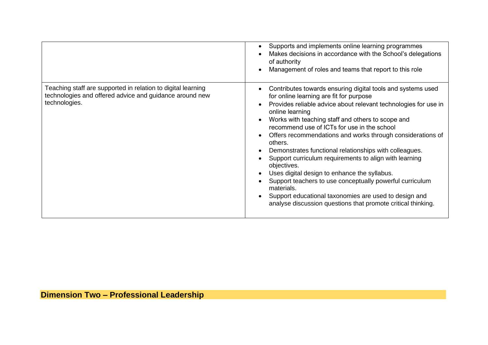|                                                                                                                                          | Supports and implements online learning programmes<br>Makes decisions in accordance with the School's delegations<br>of authority<br>Management of roles and teams that report to this role                                                                                                                                                                                                                                                                                                                                                                                                                                                                                                                                                                     |
|------------------------------------------------------------------------------------------------------------------------------------------|-----------------------------------------------------------------------------------------------------------------------------------------------------------------------------------------------------------------------------------------------------------------------------------------------------------------------------------------------------------------------------------------------------------------------------------------------------------------------------------------------------------------------------------------------------------------------------------------------------------------------------------------------------------------------------------------------------------------------------------------------------------------|
| Teaching staff are supported in relation to digital learning<br>technologies and offered advice and guidance around new<br>technologies. | Contributes towards ensuring digital tools and systems used<br>for online learning are fit for purpose<br>Provides reliable advice about relevant technologies for use in<br>online learning<br>Works with teaching staff and others to scope and<br>recommend use of ICTs for use in the school<br>Offers recommendations and works through considerations of<br>others.<br>Demonstrates functional relationships with colleagues.<br>Support curriculum requirements to align with learning<br>objectives.<br>Uses digital design to enhance the syllabus.<br>Support teachers to use conceptually powerful curriculum<br>materials.<br>Support educational taxonomies are used to design and<br>analyse discussion questions that promote critical thinking. |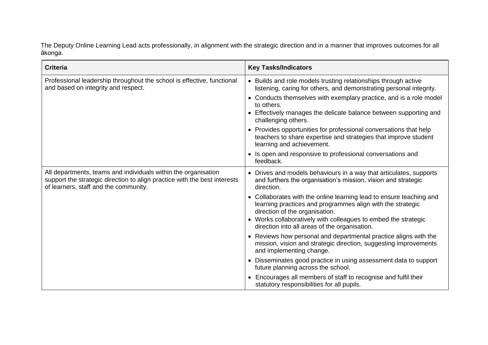The Deputy Online Learning Lead acts professionally, in alignment with the strategic direction and in a manner that improves outcomes for all ākonga.

| <b>Criteria</b>                                                                                                                                                                      | <b>Key Tasks/Indicators</b>                                                                                                                                                                                                                                                                                                                                                                                                                                                                |
|--------------------------------------------------------------------------------------------------------------------------------------------------------------------------------------|--------------------------------------------------------------------------------------------------------------------------------------------------------------------------------------------------------------------------------------------------------------------------------------------------------------------------------------------------------------------------------------------------------------------------------------------------------------------------------------------|
| Professional leadership throughout the school is effective, functional<br>and based on integrity and respect.                                                                        | • Builds and role models trusting relationships through active<br>listening, caring for others, and demonstrating personal integrity.<br>• Conducts themselves with exemplary practice, and is a role model<br>to others.<br>• Effectively manages the delicate balance between supporting and<br>challenging others.<br>• Provides opportunities for professional conversations that help<br>teachers to share expertise and strategies that improve student<br>learning and achievement. |
|                                                                                                                                                                                      | • Is open and responsive to professional conversations and<br>feedback.                                                                                                                                                                                                                                                                                                                                                                                                                    |
| All departments, teams and individuals within the organisation<br>support the strategic direction to align practice with the best interests<br>of learners, staff and the community. | • Drives and models behaviours in a way that articulates, supports<br>and furthers the organisation's mission, vision and strategic<br>direction.                                                                                                                                                                                                                                                                                                                                          |
|                                                                                                                                                                                      | • Collaborates with the online learning lead to ensure teaching and<br>learning practices and programmes align with the strategic<br>direction of the organisation.<br>• Works collaboratively with colleagues to embed the strategic<br>direction into all areas of the organisation.                                                                                                                                                                                                     |
|                                                                                                                                                                                      | • Reviews how personal and departmental practice aligns with the<br>mission, vision and strategic direction, suggesting improvements<br>and implementing change.                                                                                                                                                                                                                                                                                                                           |
|                                                                                                                                                                                      | • Disseminates good practice in using assessment data to support<br>future planning across the school.                                                                                                                                                                                                                                                                                                                                                                                     |
|                                                                                                                                                                                      | • Encourages all members of staff to recognise and fulfil their<br>statutory responsibilities for all pupils.                                                                                                                                                                                                                                                                                                                                                                              |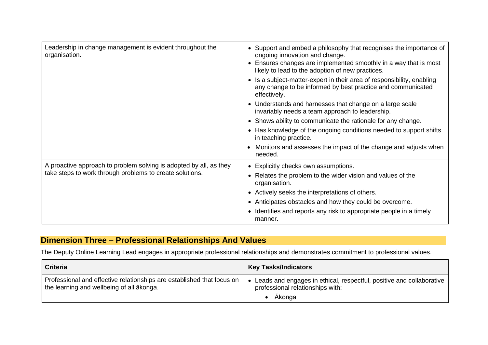| Leadership in change management is evident throughout the<br>organisation.                                                     | • Support and embed a philosophy that recognises the importance of<br>ongoing innovation and change.<br>• Ensures changes are implemented smoothly in a way that is most<br>likely to lead to the adoption of new practices. |
|--------------------------------------------------------------------------------------------------------------------------------|------------------------------------------------------------------------------------------------------------------------------------------------------------------------------------------------------------------------------|
|                                                                                                                                | • Is a subject-matter-expert in their area of responsibility, enabling<br>any change to be informed by best practice and communicated<br>effectively.                                                                        |
|                                                                                                                                | • Understands and harnesses that change on a large scale<br>invariably needs a team approach to leadership.                                                                                                                  |
|                                                                                                                                | • Shows ability to communicate the rationale for any change.                                                                                                                                                                 |
|                                                                                                                                | • Has knowledge of the ongoing conditions needed to support shifts<br>in teaching practice.                                                                                                                                  |
|                                                                                                                                | Monitors and assesses the impact of the change and adjusts when<br>needed.                                                                                                                                                   |
| A proactive approach to problem solving is adopted by all, as they<br>take steps to work through problems to create solutions. | • Explicitly checks own assumptions.                                                                                                                                                                                         |
|                                                                                                                                | Relates the problem to the wider vision and values of the<br>organisation.                                                                                                                                                   |
|                                                                                                                                | • Actively seeks the interpretations of others.                                                                                                                                                                              |
|                                                                                                                                | • Anticipates obstacles and how they could be overcome.                                                                                                                                                                      |
|                                                                                                                                | • Identifies and reports any risk to appropriate people in a timely<br>manner.                                                                                                                                               |

# **Dimension Three – Professional Relationships And Values**

The Deputy Online Learning Lead engages in appropriate professional relationships and demonstrates commitment to professional values.

| <b>Criteria</b>                                                                                                     | <b>Key Tasks/Indicators</b>                                                                                               |
|---------------------------------------------------------------------------------------------------------------------|---------------------------------------------------------------------------------------------------------------------------|
| Professional and effective relationships are established that focus on<br>the learning and wellbeing of all akonga. | Leads and engages in ethical, respectful, positive and collaborative<br>professional relationships with:<br><b>Akonga</b> |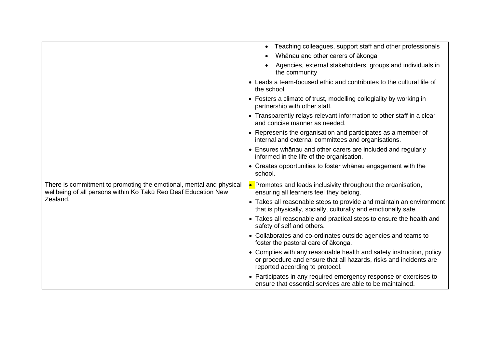|                                                                                                                                                   | • Teaching colleagues, support staff and other professionals                                                                                                                 |
|---------------------------------------------------------------------------------------------------------------------------------------------------|------------------------------------------------------------------------------------------------------------------------------------------------------------------------------|
|                                                                                                                                                   | Whānau and other carers of ākonga                                                                                                                                            |
|                                                                                                                                                   | Agencies, external stakeholders, groups and individuals in<br>the community                                                                                                  |
|                                                                                                                                                   | • Leads a team-focused ethic and contributes to the cultural life of<br>the school.                                                                                          |
|                                                                                                                                                   | • Fosters a climate of trust, modelling collegiality by working in<br>partnership with other staff.                                                                          |
|                                                                                                                                                   | • Transparently relays relevant information to other staff in a clear<br>and concise manner as needed.                                                                       |
|                                                                                                                                                   | • Represents the organisation and participates as a member of<br>internal and external committees and organisations.                                                         |
|                                                                                                                                                   | • Ensures whanau and other carers are included and regularly<br>informed in the life of the organisation.                                                                    |
|                                                                                                                                                   | • Creates opportunities to foster whanau engagement with the<br>school.                                                                                                      |
| There is commitment to promoting the emotional, mental and physical<br>wellbeing of all persons within Ko Takū Reo Deaf Education New<br>Zealand. | • Promotes and leads inclusivity throughout the organisation,<br>ensuring all learners feel they belong.                                                                     |
|                                                                                                                                                   | • Takes all reasonable steps to provide and maintain an environment<br>that is physically, socially, culturally and emotionally safe.                                        |
|                                                                                                                                                   | • Takes all reasonable and practical steps to ensure the health and<br>safety of self and others.                                                                            |
|                                                                                                                                                   | • Collaborates and co-ordinates outside agencies and teams to<br>foster the pastoral care of akonga.                                                                         |
|                                                                                                                                                   | • Complies with any reasonable health and safety instruction, policy<br>or procedure and ensure that all hazards, risks and incidents are<br>reported according to protocol. |
|                                                                                                                                                   | • Participates in any required emergency response or exercises to<br>ensure that essential services are able to be maintained.                                               |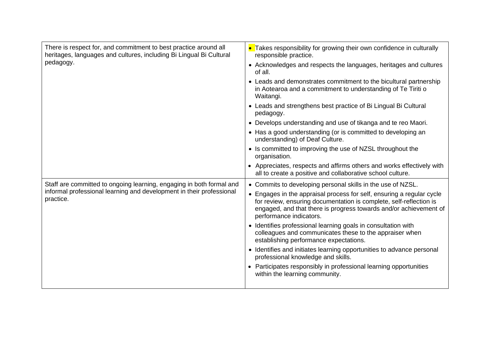| There is respect for, and commitment to best practice around all<br>heritages, languages and cultures, including Bi Lingual Bi Cultural | • Takes responsibility for growing their own confidence in culturally<br>responsible practice.                                                                                                                                              |
|-----------------------------------------------------------------------------------------------------------------------------------------|---------------------------------------------------------------------------------------------------------------------------------------------------------------------------------------------------------------------------------------------|
| pedagogy.                                                                                                                               | • Acknowledges and respects the languages, heritages and cultures<br>of all.                                                                                                                                                                |
|                                                                                                                                         | • Leads and demonstrates commitment to the bicultural partnership<br>in Aotearoa and a commitment to understanding of Te Tiriti o<br>Waitangi.                                                                                              |
|                                                                                                                                         | • Leads and strengthens best practice of Bi Lingual Bi Cultural<br>pedagogy.                                                                                                                                                                |
|                                                                                                                                         | • Develops understanding and use of tikanga and te reo Maori.                                                                                                                                                                               |
|                                                                                                                                         | • Has a good understanding (or is committed to developing an<br>understanding) of Deaf Culture.                                                                                                                                             |
|                                                                                                                                         | • Is committed to improving the use of NZSL throughout the<br>organisation.                                                                                                                                                                 |
|                                                                                                                                         | • Appreciates, respects and affirms others and works effectively with<br>all to create a positive and collaborative school culture.                                                                                                         |
| Staff are committed to ongoing learning, engaging in both formal and                                                                    | • Commits to developing personal skills in the use of NZSL.                                                                                                                                                                                 |
| informal professional learning and development in their professional<br>practice.                                                       | • Engages in the appraisal process for self, ensuring a regular cycle<br>for review, ensuring documentation is complete, self-reflection is<br>engaged, and that there is progress towards and/or achievement of<br>performance indicators. |
|                                                                                                                                         | • Identifies professional learning goals in consultation with<br>colleagues and communicates these to the appraiser when<br>establishing performance expectations.                                                                          |
|                                                                                                                                         | • Identifies and initiates learning opportunities to advance personal<br>professional knowledge and skills.                                                                                                                                 |
|                                                                                                                                         | • Participates responsibly in professional learning opportunities<br>within the learning community.                                                                                                                                         |
|                                                                                                                                         |                                                                                                                                                                                                                                             |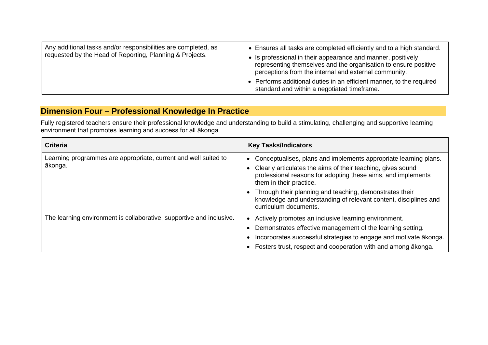| Any additional tasks and/or responsibilities are completed, as<br>requested by the Head of Reporting, Planning & Projects. | Ensures all tasks are completed efficiently and to a high standard.<br>• Is professional in their appearance and manner, positively<br>representing themselves and the organisation to ensure positive<br>perceptions from the internal and external community. |
|----------------------------------------------------------------------------------------------------------------------------|-----------------------------------------------------------------------------------------------------------------------------------------------------------------------------------------------------------------------------------------------------------------|
|                                                                                                                            | Performs additional duties in an efficient manner, to the required<br>standard and within a negotiated timeframe.                                                                                                                                               |

## **Dimension Four – Professional Knowledge In Practice**

Fully registered teachers ensure their professional knowledge and understanding to build a stimulating, challenging and supportive learning environment that promotes learning and success for all ākonga.

| <b>Criteria</b>                                                            | <b>Key Tasks/Indicators</b>                                                                                                                                                                                                                                                                                                                                                        |
|----------------------------------------------------------------------------|------------------------------------------------------------------------------------------------------------------------------------------------------------------------------------------------------------------------------------------------------------------------------------------------------------------------------------------------------------------------------------|
| Learning programmes are appropriate, current and well suited to<br>ākonga. | Conceptualises, plans and implements appropriate learning plans.<br>Clearly articulates the aims of their teaching, gives sound<br>professional reasons for adopting these aims, and implements<br>them in their practice.<br>Through their planning and teaching, demonstrates their<br>knowledge and understanding of relevant content, disciplines and<br>curriculum documents. |
| The learning environment is collaborative, supportive and inclusive.       | Actively promotes an inclusive learning environment.<br>Demonstrates effective management of the learning setting.<br>Incorporates successful strategies to engage and motivate ākonga.<br>Fosters trust, respect and cooperation with and among ākonga.                                                                                                                           |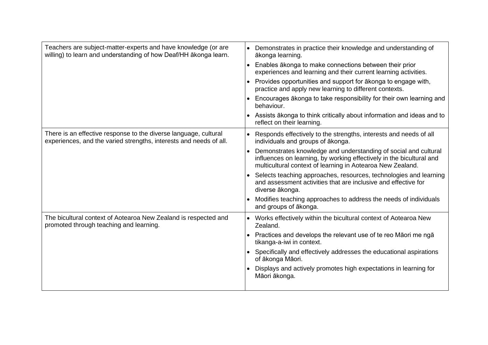| Teachers are subject-matter-experts and have knowledge (or are<br>willing) to learn and understanding of how Deaf/HH ākonga learn.     | • Demonstrates in practice their knowledge and understanding of<br>ākonga learning.                                                                                                                   |
|----------------------------------------------------------------------------------------------------------------------------------------|-------------------------------------------------------------------------------------------------------------------------------------------------------------------------------------------------------|
|                                                                                                                                        | Enables ākonga to make connections between their prior<br>experiences and learning and their current learning activities.                                                                             |
|                                                                                                                                        | • Provides opportunities and support for a konga to engage with,<br>practice and apply new learning to different contexts.                                                                            |
|                                                                                                                                        | • Encourages ākonga to take responsibility for their own learning and<br>behaviour.                                                                                                                   |
|                                                                                                                                        | • Assists ākonga to think critically about information and ideas and to<br>reflect on their learning.                                                                                                 |
| There is an effective response to the diverse language, cultural<br>experiences, and the varied strengths, interests and needs of all. | • Responds effectively to the strengths, interests and needs of all<br>individuals and groups of ākonga.                                                                                              |
|                                                                                                                                        | Demonstrates knowledge and understanding of social and cultural<br>influences on learning, by working effectively in the bicultural and<br>multicultural context of learning in Aotearoa New Zealand. |
|                                                                                                                                        | • Selects teaching approaches, resources, technologies and learning<br>and assessment activities that are inclusive and effective for<br>diverse ākonga.                                              |
|                                                                                                                                        | Modifies teaching approaches to address the needs of individuals<br>and groups of ākonga.                                                                                                             |
| The bicultural context of Aotearoa New Zealand is respected and<br>promoted through teaching and learning.                             | • Works effectively within the bicultural context of Aotearoa New<br>Zealand.                                                                                                                         |
|                                                                                                                                        | • Practices and develops the relevant use of te reo Māori me ngā<br>tikanga-a-iwi in context.                                                                                                         |
|                                                                                                                                        | • Specifically and effectively addresses the educational aspirations<br>of ākonga Māori.                                                                                                              |
|                                                                                                                                        | Displays and actively promotes high expectations in learning for<br>Māori ākonga.                                                                                                                     |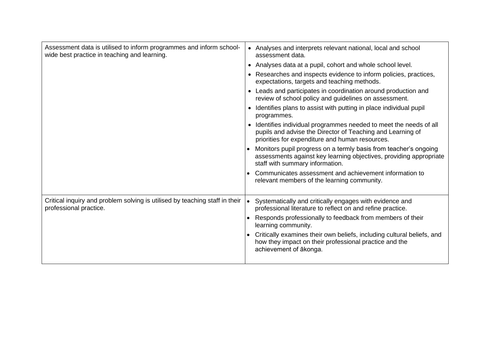| Assessment data is utilised to inform programmes and inform school-<br>wide best practice in teaching and learning. | • Analyses and interprets relevant national, local and school<br>assessment data.                                                                                                   |
|---------------------------------------------------------------------------------------------------------------------|-------------------------------------------------------------------------------------------------------------------------------------------------------------------------------------|
|                                                                                                                     | • Analyses data at a pupil, cohort and whole school level.                                                                                                                          |
|                                                                                                                     | • Researches and inspects evidence to inform policies, practices,<br>expectations, targets and teaching methods.                                                                    |
|                                                                                                                     | Leads and participates in coordination around production and<br>review of school policy and guidelines on assessment.                                                               |
|                                                                                                                     | Identifies plans to assist with putting in place individual pupil<br>programmes.                                                                                                    |
|                                                                                                                     | • Identifies individual programmes needed to meet the needs of all<br>pupils and advise the Director of Teaching and Learning of<br>priorities for expenditure and human resources. |
|                                                                                                                     | Monitors pupil progress on a termly basis from teacher's ongoing<br>assessments against key learning objectives, providing appropriate<br>staff with summary information.           |
|                                                                                                                     | Communicates assessment and achievement information to<br>relevant members of the learning community.                                                                               |
| Critical inquiry and problem solving is utilised by teaching staff in their<br>professional practice.               | Systematically and critically engages with evidence and<br>professional literature to reflect on and refine practice.                                                               |
|                                                                                                                     | Responds professionally to feedback from members of their<br>learning community.                                                                                                    |
|                                                                                                                     | Critically examines their own beliefs, including cultural beliefs, and<br>how they impact on their professional practice and the<br>achievement of ākonga.                          |
|                                                                                                                     |                                                                                                                                                                                     |